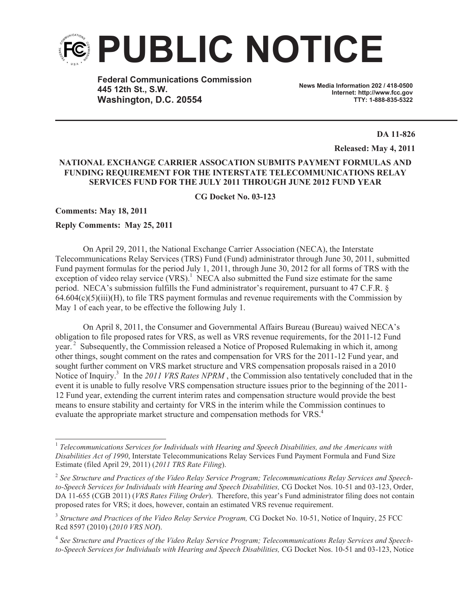

**Federal Communications Commission 445 12th St., S.W. Washington, D.C. 20554**

**News Media Information 202 / 418-0500 Internet: http://www.fcc.gov TTY: 1-888-835-5322**

**DA 11-826**

**Released: May 4, 2011**

## **NATIONAL EXCHANGE CARRIER ASSOCATION SUBMITS PAYMENT FORMULAS AND FUNDING REQUIREMENT FOR THE INTERSTATE TELECOMMUNICATIONS RELAY SERVICES FUND FOR THE JULY 2011 THROUGH JUNE 2012 FUND YEAR**

**CG Docket No. 03-123**

**Comments: May 18, 2011** 

## **Reply Comments: May 25, 2011**

On April 29, 2011, the National Exchange Carrier Association (NECA), the Interstate Telecommunications Relay Services (TRS) Fund (Fund) administrator through June 30, 2011, submitted Fund payment formulas for the period July 1, 2011, through June 30, 2012 for all forms of TRS with the exception of video relay service  $(VRS)$ <sup>1</sup>. NECA also submitted the Fund size estimate for the same period. NECA's submission fulfills the Fund administrator's requirement, pursuant to 47 C.F.R. §  $64.604(c)(5)(iii)(H)$ , to file TRS payment formulas and revenue requirements with the Commission by May 1 of each year, to be effective the following July 1.

On April 8, 2011, the Consumer and Governmental Affairs Bureau (Bureau) waived NECA's obligation to file proposed rates for VRS, as well as VRS revenue requirements, for the 2011-12 Fund year.<sup>2</sup> Subsequently, the Commission released a Notice of Proposed Rulemaking in which it, among other things, sought comment on the rates and compensation for VRS for the 2011-12 Fund year, and sought further comment on VRS market structure and VRS compensation proposals raised in a 2010 Notice of Inquiry.<sup>3</sup> In the 2011 VRS Rates NPRM, the Commission also tentatively concluded that in the event it is unable to fully resolve VRS compensation structure issues prior to the beginning of the 2011- 12 Fund year, extending the current interim rates and compensation structure would provide the best means to ensure stability and certainty for VRS in the interim while the Commission continues to evaluate the appropriate market structure and compensation methods for VRS.<sup>4</sup>

<sup>&</sup>lt;sup>1</sup> Telecommunications Services for Individuals with Hearing and Speech Disabilities, and the Americans with *Disabilities Act of 1990*, Interstate Telecommunications Relay Services Fund Payment Formula and Fund Size Estimate (filed April 29, 2011) (*2011 TRS Rate Filing*).

<sup>2</sup> *See Structure and Practices of the Video Relay Service Program; Telecommunications Relay Services and Speechto-Speech Services for Individuals with Hearing and Speech Disabilities,* CG Docket Nos. 10-51 and 03-123, Order, DA 11-655 (CGB 2011) (*VRS Rates Filing Order*). Therefore, this year's Fund administrator filing does not contain proposed rates for VRS; it does, however, contain an estimated VRS revenue requirement.

<sup>&</sup>lt;sup>3</sup> Structure and Practices of the Video Relay Service Program, CG Docket No. 10-51, Notice of Inquiry, 25 FCC Rcd 8597 (2010) (*2010 VRS NOI*).

<sup>4</sup> *See Structure and Practices of the Video Relay Service Program; Telecommunications Relay Services and Speechto-Speech Services for Individuals with Hearing and Speech Disabilities,* CG Docket Nos. 10-51 and 03-123, Notice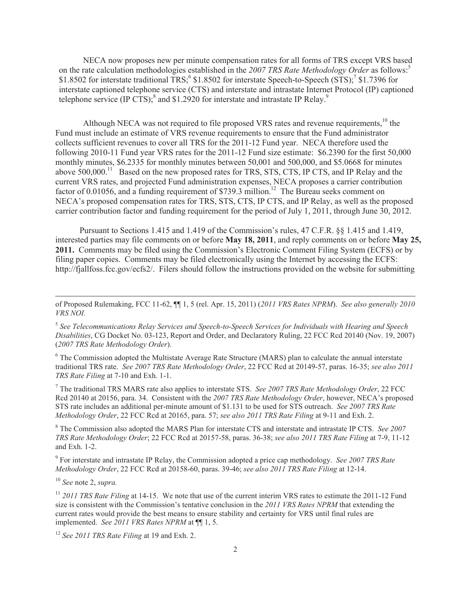NECA now proposes new per minute compensation rates for all forms of TRS except VRS based on the rate calculation methodologies established in the *2007 TRS Rate Methodology Order* as follows:<sup>5</sup> \$1.8502 for interstate traditional TRS;<sup>6</sup> \$1.8502 for interstate Speech-to-Speech (STS);<sup>7</sup> \$1.7396 for interstate captioned telephone service (CTS) and interstate and intrastate Internet Protocol (IP) captioned telephone service (IP CTS);<sup>8</sup> and \$1.2920 for interstate and intrastate IP Relay.<sup>9</sup>

Although NECA was not required to file proposed VRS rates and revenue requirements,<sup>10</sup> the Fund must include an estimate of VRS revenue requirements to ensure that the Fund administrator collects sufficient revenues to cover all TRS for the 2011-12 Fund year. NECA therefore used the following 2010-11 Fund year VRS rates for the 2011-12 Fund size estimate: \$6.2390 for the first 50,000 monthly minutes, \$6.2335 for monthly minutes between 50,001 and 500,000, and \$5.0668 for minutes above 500,000.<sup>11</sup> Based on the new proposed rates for TRS, STS, CTS, IP CTS, and IP Relay and the current VRS rates, and projected Fund administration expenses, NECA proposes a carrier contribution factor of 0.01056, and a funding requirement of \$739.3 million.<sup>12</sup> The Bureau seeks comment on NECA's proposed compensation rates for TRS, STS, CTS, IP CTS, and IP Relay, as well as the proposed carrier contribution factor and funding requirement for the period of July 1, 2011, through June 30, 2012.

Pursuant to Sections 1.415 and 1.419 of the Commission's rules, 47 C.F.R. §§ 1.415 and 1.419, interested parties may file comments on or before **May 18, 2011**, and reply comments on or before **May 25, 2011.** Comments may be filed using the Commission's Electronic Comment Filing System (ECFS) or by filing paper copies. Comments may be filed electronically using the Internet by accessing the ECFS: http://fjallfoss.fcc.gov/ecfs2/. Filers should follow the instructions provided on the website for submitting

<sup>6</sup> The Commission adopted the Multistate Average Rate Structure (MARS) plan to calculate the annual interstate traditional TRS rate. *See 2007 TRS Rate Methodology Order*, 22 FCC Rcd at 20149-57, paras. 16-35; *see also 2011 TRS Rate Filing* at 7-10 and Exh. 1-1.

<sup>7</sup> The traditional TRS MARS rate also applies to interstate STS. *See 2007 TRS Rate Methodology Order*, 22 FCC Rcd 20140 at 20156, para. 34. Consistent with the *2007 TRS Rate Methodology Order*, however, NECA's proposed STS rate includes an additional per-minute amount of \$1.131 to be used for STS outreach. *See 2007 TRS Rate Methodology Order*, 22 FCC Rcd at 20165, para. 57; *see also 2011 TRS Rate Filing* at 9-11 and Exh. 2.

<sup>8</sup> The Commission also adopted the MARS Plan for interstate CTS and interstate and intrastate IP CTS. *See 2007 TRS Rate Methodology Order*; 22 FCC Rcd at 20157-58, paras. 36-38; *see also 2011 TRS Rate Filing* at 7-9, 11-12 and Exh. 1-2.

9 For interstate and intrastate IP Relay, the Commission adopted a price cap methodology. *See 2007 TRS Rate Methodology Order*, 22 FCC Rcd at 20158-60, paras. 39-46; *see also 2011 TRS Rate Filing* at 12-14.

<sup>10</sup> *See* note 2, *supra.*

<sup>11</sup> 2011 TRS Rate Filing at 14-15. We note that use of the current interim VRS rates to estimate the 2011-12 Fund size is consistent with the Commission's tentative conclusion in the *2011 VRS Rates NPRM* that extending the current rates would provide the best means to ensure stability and certainty for VRS until final rules are implemented. *See 2011 VRS Rates NPRM* at ¶¶ 1, 5.

<sup>12</sup> *See 2011 TRS Rate Filing* at 19 and Exh. 2.

of Proposed Rulemaking, FCC 11-62, ¶¶ 1, 5 (rel. Apr. 15, 2011) (*2011 VRS Rates NPRM*). *See also generally 2010 VRS NOI.*

<sup>5</sup> *See Telecommunications Relay Services and Speech-to-Speech Services for Individuals with Hearing and Speech Disabilities*, CG Docket No. 03-123, Report and Order, and Declaratory Ruling, 22 FCC Rcd 20140 (Nov. 19, 2007) (*2007 TRS Rate Methodology Order*).